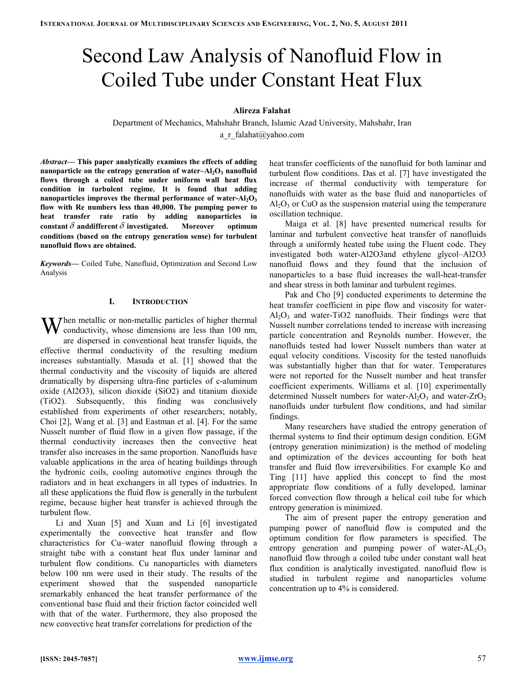# Second Law Analysis of Nanofluid Flow in Coiled Tube under Constant Heat Flux

# Alireza Falahat

Department of Mechanics, Mahshahr Branch, Islamic Azad University, Mahshahr, Iran a\_r\_falahat@yahoo.com

Abstract— This paper analytically examines the effects of adding nanoparticle on the entropy generation of water– $\text{Al}_2\text{O}_3$  nanofluid flows through a coiled tube under uniform wall heat flux condition in turbulent regime. It is found that adding nanoparticles improves the thermal performance of water- $Al_2O_3$ flow with Re numbers less than 40,000. The pumping power to heat transfer rate ratio by adding nanoparticles in constant  $\delta$  and different  $\delta$  investigated. Moreover optimum conditions (based on the entropy generation sense) for turbulent nanofluid flows are obtained.

Keywords— Coiled Tube, Nanofluid, Optimization and Second Low Analysis

## I. INTRODUCTION

 $\mathbf{W}$  conductivity, whose dimensions are less than 100 nm, conductivity, whose dimensions are less than 100 nm, are dispersed in conventional heat transfer liquids, the effective thermal conductivity of the resulting medium increases substantially. Masuda et al. [1] showed that the thermal conductivity and the viscosity of liquids are altered dramatically by dispersing ultra-fine particles of c-aluminum oxide (Al2O3), silicon dioxide (SiO2) and titanium dioxide (TiO2). Subsequently, this finding was conclusively established from experiments of other researchers; notably, Choi [2], Wang et al. [3] and Eastman et al. [4]. For the same Nusselt number of fluid flow in a given flow passage, if the thermal conductivity increases then the convective heat transfer also increases in the same proportion. Nanofluids have valuable applications in the area of heating buildings through the hydronic coils, cooling automotive engines through the radiators and in heat exchangers in all types of industries. In all these applications the fluid flow is generally in the turbulent regime, because higher heat transfer is achieved through the turbulent flow.

Li and Xuan [5] and Xuan and Li [6] investigated experimentally the convective heat transfer and flow characteristics for Cu–water nanofluid flowing through a straight tube with a constant heat flux under laminar and turbulent flow conditions. Cu nanoparticles with diameters below 100 nm were used in their study. The results of the experiment showed that the suspended nanoparticle sremarkably enhanced the heat transfer performance of the conventional base fluid and their friction factor coincided well with that of the water. Furthermore, they also proposed the new convective heat transfer correlations for prediction of the

heat transfer coefficients of the nanofluid for both laminar and turbulent flow conditions. Das et al. [7] have investigated the increase of thermal conductivity with temperature for nanofluids with water as the base fluid and nanoparticles of  $Al<sub>2</sub>O<sub>3</sub>$  or CuO as the suspension material using the temperature oscillation technique.

Maiga et al. [8] have presented numerical results for laminar and turbulent convective heat transfer of nanofluids through a uniformly heated tube using the Fluent code. They investigated both water-Al2O3and ethylene glycol–Al2O3 nanofluid flows and they found that the inclusion of nanoparticles to a base fluid increases the wall-heat-transfer and shear stress in both laminar and turbulent regimes.

Pak and Cho [9] conducted experiments to determine the heat transfer coefficient in pipe flow and viscosity for water- $Al_2O_3$  and water-TiO2 nanofluids. Their findings were that Nusselt number correlations tended to increase with increasing particle concentration and Reynolds number. However, the nanofluids tested had lower Nusselt numbers than water at equal velocity conditions. Viscosity for the tested nanofluids was substantially higher than that for water. Temperatures were not reported for the Nusselt number and heat transfer coefficient experiments. Williams et al. [10] experimentally determined Nusselt numbers for water- $Al_2O_3$  and water- $ZrO_2$ nanofluids under turbulent flow conditions, and had similar findings.

Many researchers have studied the entropy generation of thermal systems to find their optimum design condition. EGM (entropy generation minimization) is the method of modeling and optimization of the devices accounting for both heat transfer and fluid flow irreversibilities. For example Ko and Ting [11] have applied this concept to find the most appropriate flow conditions of a fully developed, laminar forced convection flow through a helical coil tube for which entropy generation is minimized.

The aim of present paper the entropy generation and pumping power of nanofluid flow is computed and the optimum condition for flow parameters is specified. The entropy generation and pumping power of water- $AL_2O_3$ nanofluid flow through a coiled tube under constant wall heat flux condition is analytically investigated. nanofluid flow is studied in turbulent regime and nanoparticles volume concentration up to 4% is considered.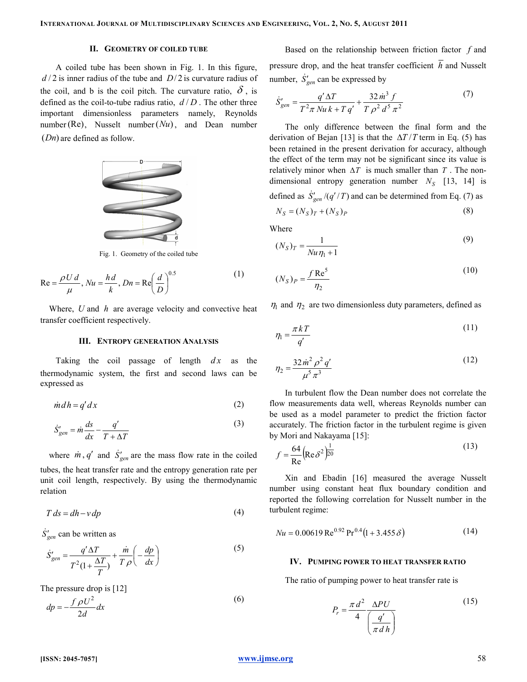# II. GEOMETRY OF COILED TUBE

A coiled tube has been shown in Fig. 1. In this figure,  $d/2$  is inner radius of the tube and  $D/2$  is curvature radius of the coil, and b is the coil pitch. The curvature ratio,  $\delta$ , is defined as the coil-to-tube radius ratio,  $d/D$ . The other three important dimensionless parameters namely, Reynolds number (Re), Nusselt number  $(Nu)$ , and Dean number  $(Dn)$  are defined as follow.



Fig. 1. Geometry of the coiled tube

$$
\text{Re} = \frac{\rho U d}{\mu}, Nu = \frac{h d}{k}, Dn = \text{Re}\left(\frac{d}{D}\right)^{0.5}
$$
 (1)

Where,  $U$  and  $h$  are average velocity and convective heat transfer coefficient respectively.

## III. ENTROPY GENERATION ANALYSIS

Taking the coil passage of length  $dx$  as the thermodynamic system, the first and second laws can be expressed as

$$
\dot{m}dh = q'dx\tag{2}
$$

$$
\dot{S}_{gen}' = \dot{m}\frac{ds}{dx} - \frac{q'}{T + \Delta T}
$$
\n(3)

where  $\dot{m}$ ,  $q'$  and  $\dot{S}'_{gen}$  are the mass flow rate in the coiled tubes, the heat transfer rate and the entropy generation rate per unit coil length, respectively. By using the thermodynamic relation

$$
T ds = dh - v dp \tag{4}
$$

 $\dot{S}'_{gen}$  can be written as

$$
\dot{S}_{gen}' = \frac{q' \Delta T}{T^2 (1 + \frac{\Delta T}{T})} + \frac{\dot{m}}{T \rho} \left( -\frac{dp}{dx} \right)
$$
\n(5)

The pressure drop is [12]

$$
dp = -\frac{f \rho U^2}{2d} dx
$$
 (6)

Based on the relationship between friction factor  $f$  and pressure drop, and the heat transfer coefficient  $\overline{h}$  and Nusselt number,  $\dot{S}'_{gen}$  can be expressed by

$$
\dot{S}'_{gen} = \frac{q' \Delta T}{T^2 \pi N u k + T q'} + \frac{32 \dot{m}^3 f}{T \rho^2 d^5 \pi^2}
$$
(7)

The only difference between the final form and the derivation of Bejan [13] is that the  $\Delta T/T$  term in Eq. (5) has been retained in the present derivation for accuracy, although the effect of the term may not be significant since its value is relatively minor when  $\Delta T$  is much smaller than T. The nondimensional entropy generation number  $N<sub>S</sub>$  [13, 14] is defined as  $\dot{S}_{gen}^{\prime}/(q^{\prime}/T)$  and can be determined from Eq. (7) as

defined as 
$$
S_{gen}/(q / T)
$$
 and can be determined from Eq. (7) as

$$
N_S = (N_S)_T + (N_S)_P \tag{8}
$$

Where

$$
(N_S)_T = \frac{1}{Nu\eta_1 + 1} \tag{9}
$$

$$
(N_S)_P = \frac{f \operatorname{Re}^5}{\eta_2} \tag{10}
$$

 $\eta_1$  and  $\eta_2$  are two dimensionless duty parameters, defined as

$$
\eta_1 = \frac{\pi k T}{q'}\tag{11}
$$

$$
\eta_2 = \frac{32\dot{m}^2 \rho^2 q'}{\mu^5 \pi^3} \tag{12}
$$

In turbulent flow the Dean number does not correlate the flow measurements data well, whereas Reynolds number can be used as a model parameter to predict the friction factor accurately. The friction factor in the turbulent regime is given by Mori and Nakayama [15]:

$$
f = \frac{64}{\text{Re}} \left( \text{Re} \,\delta^2 \right)^{\frac{1}{20}} \tag{13}
$$

Xin and Ebadin [16] measured the average Nusselt number using constant heat flux boundary condition and reported the following correlation for Nusselt number in the turbulent regime:

$$
Nu = 0.00619 \,\text{Re}^{0.92} \,\text{Pr}^{0.4} (1 + 3.455 \,\delta) \tag{14}
$$

### IV. PUMPING POWER TO HEAT TRANSFER RATIO

The ratio of pumping power to heat transfer rate is

$$
P_r = \frac{\pi d^2}{4} \frac{\Delta P U}{\left(\frac{q'}{\pi d h}\right)}\tag{15}
$$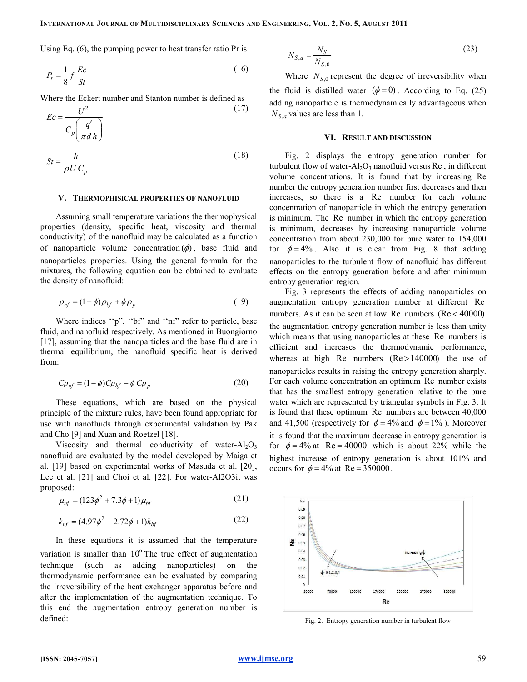Using Eq. (6), the pumping power to heat transfer ratio Pr is

$$
P_r = \frac{1}{8} f \frac{Ec}{St}
$$
 (16)

Where the Eckert number and Stanton number is defined as

$$
Ec = \frac{U^2}{C_p \left(\frac{q'}{\pi d h}\right)}
$$
(17)  

$$
St = \frac{h}{\rho U C_p}
$$
(18)

### V. THERMOPHISICAL PROPERTIES OF NANOFLUID

Assuming small temperature variations the thermophysical properties (density, specific heat, viscosity and thermal conductivity) of the nanofluid may be calculated as a function of nanoparticle volume concentration  $(\phi)$ , base fluid and nanoparticles properties. Using the general formula for the mixtures, the following equation can be obtained to evaluate the density of nanofluid:

$$
\rho_{nf} = (1 - \phi)\rho_{bf} + \phi\rho_p \tag{19}
$$

Where indices ''p", ''bf" and ''nf" refer to particle, base fluid, and nanofluid respectively. As mentioned in Buongiorno [17], assuming that the nanoparticles and the base fluid are in thermal equilibrium, the nanofluid specific heat is derived from:

$$
Cp_{nf} = (1 - \phi)Cp_{bf} + \phi Cp_p \tag{20}
$$

These equations, which are based on the physical principle of the mixture rules, have been found appropriate for use with nanofluids through experimental validation by Pak and Cho [9] and Xuan and Roetzel [18].

Viscosity and thermal conductivity of water- $Al_2O_3$ nanofluid are evaluated by the model developed by Maiga et al. [19] based on experimental works of Masuda et al. [20], Lee et al. [21] and Choi et al. [22]. For water-Al2O3it was proposed:

$$
\mu_{nf} = (123\phi^2 + 7.3\phi + 1)\mu_{bf}
$$
\n(21)

$$
k_{nf} = (4.97\phi^2 + 2.72\phi + 1)k_{bf}
$$
 (22)

In these equations it is assumed that the temperature variation is smaller than  $10^{\circ}$  The true effect of augmentation technique (such as adding nanoparticles) on the thermodynamic performance can be evaluated by comparing the irreversibility of the heat exchanger apparatus before and after the implementation of the augmentation technique. To this end the augmentation entropy generation number is defined:

$$
N_{S,a} = \frac{N_S}{N_{S,0}}\tag{23}
$$

Where  $N_{S,0}$  represent the degree of irreversibility when the fluid is distilled water  $(\phi = 0)$ . According to Eq. (25) adding nanoparticle is thermodynamically advantageous when  $N_{S,a}$  values are less than 1.

# VI. RESULT AND DISCUSSION

Fig. 2 displays the entropy generation number for turbulent flow of water- $Al_2O_3$  nanofluid versus Re, in different volume concentrations. It is found that by increasing Re number the entropy generation number first decreases and then increases, so there is a Re number for each volume concentration of nanoparticle in which the entropy generation is minimum. The Re number in which the entropy generation is minimum, decreases by increasing nanoparticle volume concentration from about 230,000 for pure water to 154,000 for  $\phi = 4\%$ . Also it is clear from Fig. 8 that adding nanoparticles to the turbulent flow of nanofluid has different effects on the entropy generation before and after minimum entropy generation region.

Fig. 3 represents the effects of adding nanoparticles on augmentation entropy generation number at different Re numbers. As it can be seen at low Re numbers (Re < 40000) the augmentation entropy generation number is less than unity which means that using nanoparticles at these Re numbers is efficient and increases the thermodynamic performance, whereas at high Re numbers  $(Re > 140000)$  the use of nanoparticles results in raising the entropy generation sharply. For each volume concentration an optimum Re number exists that has the smallest entropy generation relative to the pure water which are represented by triangular symbols in Fig. 3. It is found that these optimum Re numbers are between 40,000 and 41,500 (respectively for  $\phi = 4\%$  and  $\phi = 1\%$ ). Moreover it is found that the maximum decrease in entropy generation is for  $\phi = 4\%$  at Re = 40000 which is about 22% while the highest increase of entropy generation is about 101% and occurs for  $\phi = 4\%$  at Re = 350000.



Fig. 2. Entropy generation number in turbulent flow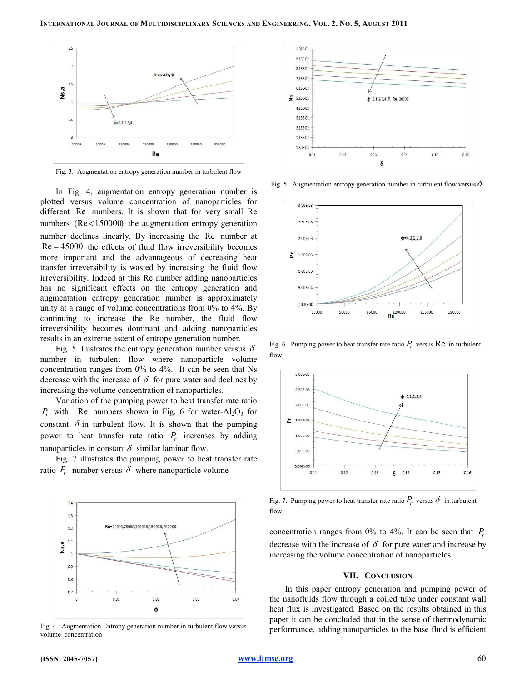

Fig. 3. Augmentation entropy generation number in turbulent flow

In Fig. 4, augmentation entropy generation number is plotted versus volume concentration of nanoparticles for different Re numbers. It is shown that for very small Re numbers (Re <150000) the augmentation entropy generation number declines linearly. By increasing the Re number at  $Re = 45000$  the effects of fluid flow irreversibility becomes more important and the advantageous of decreasing heat transfer irreversibility is wasted by increasing the fluid flow irreversibility. Indeed at this Re number adding nanoparticles has no significant effects on the entropy generation and augmentation entropy generation number is approximately unity at a range of volume concentrations from 0% to 4%. By continuing to increase the Re number, the fluid flow irreversibility becomes dominant and adding nanoparticles results in an extreme ascent of entropy generation number.

Fig. 5 illustrates the entropy generation number versus  $\delta$ number in turbulent flow where nanoparticle volume concentration ranges from 0% to 4%. It can be seen that Ns decrease with the increase of  $\delta$  for pure water and declines by increasing the volume concentration of nanoparticles.

Variation of the pumping power to heat transfer rate ratio  $P_r$  with Re numbers shown in Fig. 6 for water-Al<sub>2</sub>O<sub>3</sub> for constant  $\delta$  in turbulent flow. It is shown that the pumping power to heat transfer rate ratio  $P_r$  increases by adding nanoparticles in constant  $\delta$  similar laminar flow.

Fig. 7 illustrates the pumping power to heat transfer rate ratio  $P_r$  number versus  $\delta$  where nanoparticle volume



Fig. 4. Augmentation Entropy generation number in turbulent flow versus volume concentration



Fig. 5. Augmentation entropy generation number in turbulent flow versus  $\delta$ 



Fig. 6. Pumping power to heat transfer rate ratio  $P_r$  versus  $\text{Re}$  in turbulent flow



Fig. 7. Pumping power to heat transfer rate ratio  $P_r$  versus  $\delta$  in turbulent flow

concentration ranges from 0% to 4%. It can be seen that  $P_r$ decrease with the increase of  $\delta$  for pure water and increase by increasing the volume concentration of nanoparticles.

### VII. CONCLUSION

In this paper entropy generation and pumping power of the nanofluids flow through a coiled tube under constant wall heat flux is investigated. Based on the results obtained in this paper it can be concluded that in the sense of thermodynamic performance, adding nanoparticles to the base fluid is efficient